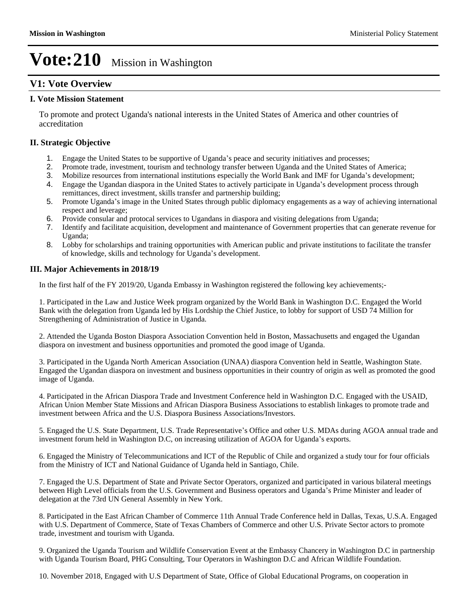#### **V1: Vote Overview**

#### **I. Vote Mission Statement**

To promote and protect Uganda's national interests in the United States of America and other countries of accreditation

#### **II. Strategic Objective**

- 1. Engage the United States to be supportive of Uganda's peace and security initiatives and processes;
- 2. Promote trade, investment, tourism and technology transfer between Uganda and the United States of America;
- 3. Mobilize resources from international institutions especially the World Bank and IMF for Uganda's development;
- 4. Engage the Ugandan diaspora in the United States to actively participate in Uganda's development process through remittances, direct investment, skills transfer and partnership building;
- 5. Promote Uganda's image in the United States through public diplomacy engagements as a way of achieving international respect and leverage;
- 6. Provide consular and protocal services to Ugandans in diaspora and visiting delegations from Uganda;<br>7. Identify and facilitate acquisition, development and maintenance of Government properties that can get
- 7. Identify and facilitate acquisition, development and maintenance of Government properties that can generate revenue for Uganda;
- 8. Lobby for scholarships and training opportunities with American public and private institutions to facilitate the transfer of knowledge, skills and technology for Uganda's development.

#### **III. Major Achievements in 2018/19**

In the first half of the FY 2019/20, Uganda Embassy in Washington registered the following key achievements;-

1. Participated in the Law and Justice Week program organized by the World Bank in Washington D.C. Engaged the World Bank with the delegation from Uganda led by His Lordship the Chief Justice, to lobby for support of USD 74 Million for Strengthening of Administration of Justice in Uganda.

2. Attended the Uganda Boston Diaspora Association Convention held in Boston, Massachusetts and engaged the Ugandan diaspora on investment and business opportunities and promoted the good image of Uganda.

3. Participated in the Uganda North American Association (UNAA) diaspora Convention held in Seattle, Washington State. Engaged the Ugandan diaspora on investment and business opportunities in their country of origin as well as promoted the good image of Uganda.

4. Participated in the African Diaspora Trade and Investment Conference held in Washington D.C. Engaged with the USAID, African Union Member State Missions and African Diaspora Business Associations to establish linkages to promote trade and investment between Africa and the U.S. Diaspora Business Associations/Investors.

5. Engaged the U.S. State Department, U.S. Trade Representative's Office and other U.S. MDAs during AGOA annual trade and investment forum held in Washington D.C, on increasing utilization of AGOA for Uganda's exports.

6. Engaged the Ministry of Telecommunications and ICT of the Republic of Chile and organized a study tour for four officials from the Ministry of ICT and National Guidance of Uganda held in Santiago, Chile.

7. Engaged the U.S. Department of State and Private Sector Operators, organized and participated in various bilateral meetings between High Level officials from the U.S. Government and Business operators and Uganda's Prime Minister and leader of delegation at the 73rd UN General Assembly in New York.

8. Participated in the East African Chamber of Commerce 11th Annual Trade Conference held in Dallas, Texas, U.S.A. Engaged with U.S. Department of Commerce, State of Texas Chambers of Commerce and other U.S. Private Sector actors to promote trade, investment and tourism with Uganda.

9. Organized the Uganda Tourism and Wildlife Conservation Event at the Embassy Chancery in Washington D.C in partnership with Uganda Tourism Board, PHG Consulting, Tour Operators in Washington D.C and African Wildlife Foundation.

10. November 2018, Engaged with U.S Department of State, Office of Global Educational Programs, on cooperation in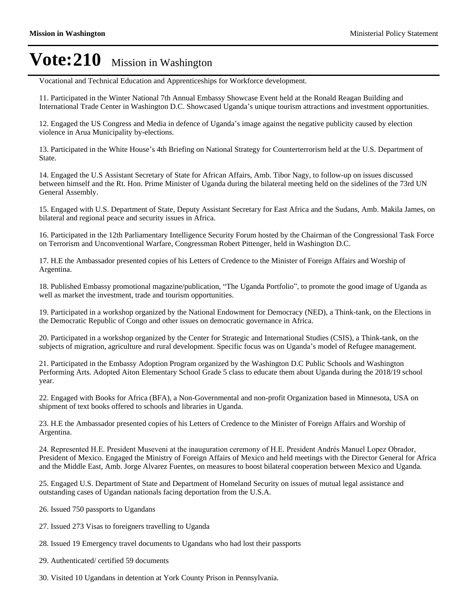Vocational and Technical Education and Apprenticeships for Workforce development.

11. Participated in the Winter National 7th Annual Embassy Showcase Event held at the Ronald Reagan Building and International Trade Center in Washington D.C. Showcased Uganda's unique tourism attractions and investment opportunities.

12. Engaged the US Congress and Media in defence of Uganda's image against the negative publicity caused by election violence in Arua Municipality by-elections.

13. Participated in the White House's 4th Briefing on National Strategy for Counterterrorism held at the U.S. Department of State.

14. Engaged the U.S Assistant Secretary of State for African Affairs, Amb. Tibor Nagy, to follow-up on issues discussed between himself and the Rt. Hon. Prime Minister of Uganda during the bilateral meeting held on the sidelines of the 73rd UN General Assembly.

15. Engaged with U.S. Department of State, Deputy Assistant Secretary for East Africa and the Sudans, Amb. Makila James, on bilateral and regional peace and security issues in Africa.

16. Participated in the 12th Parliamentary Intelligence Security Forum hosted by the Chairman of the Congressional Task Force on Terrorism and Unconventional Warfare, Congressman Robert Pittenger, held in Washington D.C.

17. H.E the Ambassador presented copies of his Letters of Credence to the Minister of Foreign Affairs and Worship of Argentina.

18. Published Embassy promotional magazine/publication, "The Uganda Portfolio", to promote the good image of Uganda as well as market the investment, trade and tourism opportunities.

19. Participated in a workshop organized by the National Endowment for Democracy (NED), a Think-tank, on the Elections in the Democratic Republic of Congo and other issues on democratic governance in Africa.

20. Participated in a workshop organized by the Center for Strategic and International Studies (CSIS), a Think-tank, on the subjects of migration, agriculture and rural development. Specific focus was on Uganda's model of Refugee management.

21. Participated in the Embassy Adoption Program organized by the Washington D.C Public Schools and Washington Performing Arts. Adopted Aiton Elementary School Grade 5 class to educate them about Uganda during the 2018/19 school year.

22. Engaged with Books for Africa (BFA), a Non-Governmental and non-profit Organization based in Minnesota, USA on shipment of text books offered to schools and libraries in Uganda.

23. H.E the Ambassador presented copies of his Letters of Credence to the Minister of Foreign Affairs and Worship of Argentina.

24. Represented H.E. President Museveni at the inauguration ceremony of H.E. President Andrés Manuel Lopez Obrador, President of Mexico. Engaged the Ministry of Foreign Affairs of Mexico and held meetings with the Director General for Africa and the Middle East, Amb. Jorge Alvarez Fuentes, on measures to boost bilateral cooperation between Mexico and Uganda.

25. Engaged U.S. Department of State and Department of Homeland Security on issues of mutual legal assistance and outstanding cases of Ugandan nationals facing deportation from the U.S.A.

- 26. Issued 750 passports to Ugandans
- 27. Issued 273 Visas to foreigners travelling to Uganda
- 28. Issued 19 Emergency travel documents to Ugandans who had lost their passports
- 29. Authenticated/ certified 59 documents
- 30. Visited 10 Ugandans in detention at York County Prison in Pennsylvania.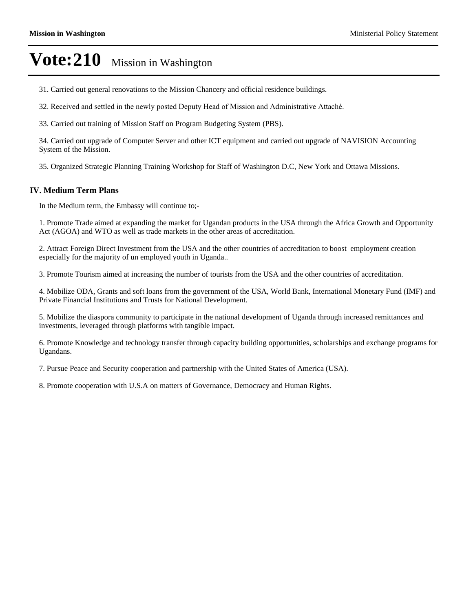- 31. Carried out general renovations to the Mission Chancery and official residence buildings.
- 32. Received and settled in the newly posted Deputy Head of Mission and Administrative Attaché.
- 33. Carried out training of Mission Staff on Program Budgeting System (PBS).

34. Carried out upgrade of Computer Server and other ICT equipment and carried out upgrade of NAVISION Accounting System of the Mission.

35. Organized Strategic Planning Training Workshop for Staff of Washington D.C, New York and Ottawa Missions.

#### **IV. Medium Term Plans**

In the Medium term, the Embassy will continue to;-

1. Promote Trade aimed at expanding the market for Ugandan products in the USA through the Africa Growth and Opportunity Act (AGOA) and WTO as well as trade markets in the other areas of accreditation.

2. Attract Foreign Direct Investment from the USA and the other countries of accreditation to boost employment creation especially for the majority of un employed youth in Uganda..

3. Promote Tourism aimed at increasing the number of tourists from the USA and the other countries of accreditation.

4. Mobilize ODA, Grants and soft loans from the government of the USA, World Bank, International Monetary Fund (IMF) and Private Financial Institutions and Trusts for National Development.

5. Mobilize the diaspora community to participate in the national development of Uganda through increased remittances and investments, leveraged through platforms with tangible impact.

6. Promote Knowledge and technology transfer through capacity building opportunities, scholarships and exchange programs for Ugandans.

7. Pursue Peace and Security cooperation and partnership with the United States of America (USA).

8. Promote cooperation with U.S.A on matters of Governance, Democracy and Human Rights.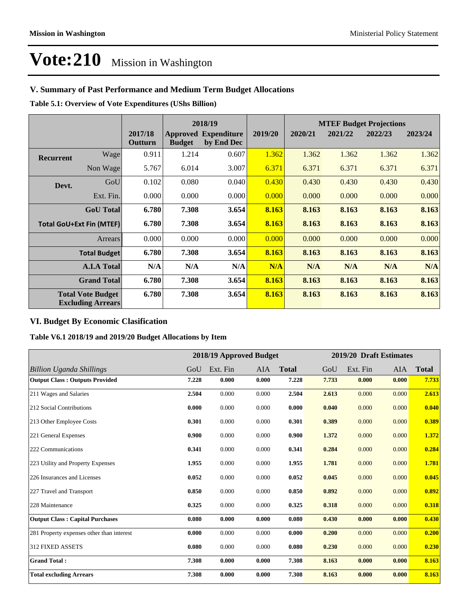#### **V. Summary of Past Performance and Medium Term Budget Allocations**

**Table 5.1: Overview of Vote Expenditures (UShs Billion)**

|                                                      |                     |                    |               | 2018/19                                   |         | <b>MTEF Budget Projections</b> |         |         |         |  |
|------------------------------------------------------|---------------------|--------------------|---------------|-------------------------------------------|---------|--------------------------------|---------|---------|---------|--|
|                                                      |                     | 2017/18<br>Outturn | <b>Budget</b> | <b>Approved Expenditure</b><br>by End Dec | 2019/20 | 2020/21                        | 2021/22 | 2022/23 | 2023/24 |  |
| <b>Recurrent</b>                                     | Wage                | 0.911              | 1.214         | 0.607                                     | 1.362   | 1.362                          | 1.362   | 1.362   | 1.362   |  |
|                                                      | Non Wage            | 5.767              | 6.014         | 3.007                                     | 6.371   | 6.371                          | 6.371   | 6.371   | 6.371   |  |
| Devt.                                                | GoU                 | 0.102              | 0.080         | 0.040                                     | 0.430   | 0.430                          | 0.430   | 0.430   | 0.430   |  |
|                                                      | Ext. Fin.           | 0.000              | 0.000         | 0.000                                     | 0.000   | 0.000                          | 0.000   | 0.000   | 0.000   |  |
|                                                      | <b>GoU</b> Total    | 6.780              | 7.308         | 3.654                                     | 8.163   | 8.163                          | 8.163   | 8.163   | 8.163   |  |
| <b>Total GoU+Ext Fin (MTEF)</b>                      |                     | 6.780              | 7.308         | 3.654                                     | 8.163   | 8.163                          | 8.163   | 8.163   | 8.163   |  |
| <b>Arrears</b>                                       |                     | 0.000              | 0.000         | 0.000                                     | 0.000   | 0.000                          | 0.000   | 0.000   | 0.000   |  |
|                                                      | <b>Total Budget</b> | 6.780              | 7.308         | 3.654                                     | 8.163   | 8.163                          | 8.163   | 8.163   | 8.163   |  |
|                                                      | <b>A.I.A Total</b>  | N/A                | N/A           | N/A                                       | N/A     | N/A                            | N/A     | N/A     | N/A     |  |
|                                                      | <b>Grand Total</b>  | 6.780              | 7.308         | 3.654                                     | 8.163   | 8.163                          | 8.163   | 8.163   | 8.163   |  |
| <b>Total Vote Budget</b><br><b>Excluding Arrears</b> |                     | 6.780              | 7.308         | 3.654                                     | 8.163   | 8.163                          | 8.163   | 8.163   | 8.163   |  |

#### **VI. Budget By Economic Clasification**

**Table V6.1 2018/19 and 2019/20 Budget Allocations by Item**

|                                           | 2018/19 Approved Budget |          |       | 2019/20 Draft Estimates |       |          |            |              |
|-------------------------------------------|-------------------------|----------|-------|-------------------------|-------|----------|------------|--------------|
| <b>Billion Uganda Shillings</b>           | GoU                     | Ext. Fin | AIA   | <b>Total</b>            | GoU   | Ext. Fin | <b>AIA</b> | <b>Total</b> |
| <b>Output Class: Outputs Provided</b>     | 7.228                   | 0.000    | 0.000 | 7.228                   | 7.733 | 0.000    | 0.000      | 7.733        |
| 211 Wages and Salaries                    | 2.504                   | 0.000    | 0.000 | 2.504                   | 2.613 | 0.000    | 0.000      | 2.613        |
| 212 Social Contributions                  | 0.000                   | 0.000    | 0.000 | 0.000                   | 0.040 | 0.000    | 0.000      | 0.040        |
| 213 Other Employee Costs                  | 0.301                   | 0.000    | 0.000 | 0.301                   | 0.389 | 0.000    | 0.000      | 0.389        |
| 221 General Expenses                      | 0.900                   | 0.000    | 0.000 | 0.900                   | 1.372 | 0.000    | 0.000      | 1.372        |
| 222 Communications                        | 0.341                   | 0.000    | 0.000 | 0.341                   | 0.284 | 0.000    | 0.000      | 0.284        |
| 223 Utility and Property Expenses         | 1.955                   | 0.000    | 0.000 | 1.955                   | 1.781 | 0.000    | 0.000      | 1.781        |
| 226 Insurances and Licenses               | 0.052                   | 0.000    | 0.000 | 0.052                   | 0.045 | 0.000    | 0.000      | 0.045        |
| 227 Travel and Transport                  | 0.850                   | 0.000    | 0.000 | 0.850                   | 0.892 | 0.000    | 0.000      | 0.892        |
| 228 Maintenance                           | 0.325                   | 0.000    | 0.000 | 0.325                   | 0.318 | 0.000    | 0.000      | 0.318        |
| <b>Output Class: Capital Purchases</b>    | 0.080                   | 0.000    | 0.000 | 0.080                   | 0.430 | 0.000    | 0.000      | 0.430        |
| 281 Property expenses other than interest | 0.000                   | 0.000    | 0.000 | 0.000                   | 0.200 | 0.000    | 0.000      | 0.200        |
| <b>312 FIXED ASSETS</b>                   | 0.080                   | 0.000    | 0.000 | 0.080                   | 0.230 | 0.000    | 0.000      | 0.230        |
| <b>Grand Total:</b>                       | 7.308                   | 0.000    | 0.000 | 7.308                   | 8.163 | 0.000    | 0.000      | 8.163        |
| <b>Total excluding Arrears</b>            | 7.308                   | 0.000    | 0.000 | 7.308                   | 8.163 | 0.000    | 0.000      | 8.163        |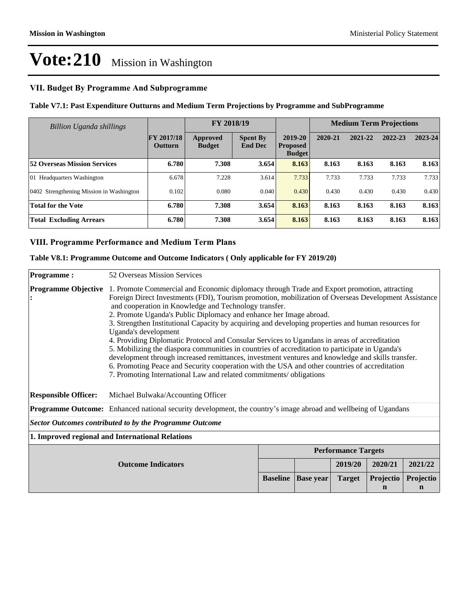#### **VII. Budget By Programme And Subprogramme**

#### **Table V7.1: Past Expenditure Outturns and Medium Term Projections by Programme and SubProgramme**

| Billion Uganda shillings                 |                              | FY 2018/19                |                                   |                                             | <b>Medium Term Projections</b> |         |         |         |
|------------------------------------------|------------------------------|---------------------------|-----------------------------------|---------------------------------------------|--------------------------------|---------|---------|---------|
|                                          | FY 2017/18<br><b>Outturn</b> | Approved<br><b>Budget</b> | <b>Spent By</b><br><b>End Dec</b> | 2019-20<br><b>Proposed</b><br><b>Budget</b> | 2020-21                        | 2021-22 | 2022-23 | 2023-24 |
| <b>52 Overseas Mission Services</b>      | 6.780                        | 7.308                     | 3.654                             | 8.163                                       | 8.163                          | 8.163   | 8.163   | 8.163   |
| 01 Headquarters Washington               | 6.678                        | 7.228                     | 3.614                             | 7.733                                       | 7.733                          | 7.733   | 7.733   | 7.733   |
| 0402 Strengthening Mission in Washington | 0.102                        | 0.080                     | 0.040                             | 0.430                                       | 0.430                          | 0.430   | 0.430   | 0.430   |
| <b>Total for the Vote</b>                | 6.780                        | 7.308                     | 3.654                             | 8.163                                       | 8.163                          | 8.163   | 8.163   | 8.163   |
| <b>Total Excluding Arrears</b>           | 6.780                        | 7.308                     | 3.654                             | 8.163                                       | 8.163                          | 8.163   | 8.163   | 8.163   |

#### **VIII. Programme Performance and Medium Term Plans**

#### **Table V8.1: Programme Outcome and Outcome Indicators ( Only applicable for FY 2019/20)**

| Programme:                  | 52 Overseas Mission Services                                                                                                                                                                                                                                                                                                                                                                                                                                                                                                                                                                                                                                                                                                                                                                                                                                                                                                                     |                 |                  |                            |                       |                          |  |  |
|-----------------------------|--------------------------------------------------------------------------------------------------------------------------------------------------------------------------------------------------------------------------------------------------------------------------------------------------------------------------------------------------------------------------------------------------------------------------------------------------------------------------------------------------------------------------------------------------------------------------------------------------------------------------------------------------------------------------------------------------------------------------------------------------------------------------------------------------------------------------------------------------------------------------------------------------------------------------------------------------|-----------------|------------------|----------------------------|-----------------------|--------------------------|--|--|
| <b>Programme Objective</b>  | 1. Promote Commercial and Economic diplomacy through Trade and Export promotion, attracting<br>Foreign Direct Investments (FDI), Tourism promotion, mobilization of Overseas Development Assistance<br>and cooperation in Knowledge and Technology transfer.<br>2. Promote Uganda's Public Diplomacy and enhance her Image abroad.<br>3. Strengthen Institutional Capacity by acquiring and developing properties and human resources for<br>Uganda's development<br>4. Providing Diplomatic Protocol and Consular Services to Ugandans in areas of accreditation<br>5. Mobilizing the diaspora communities in countries of accreditation to participate in Uganda's<br>development through increased remittances, investment ventures and knowledge and skills transfer.<br>6. Promoting Peace and Security cooperation with the USA and other countries of accreditation<br>7. Promoting International Law and related commitments/obligations |                 |                  |                            |                       |                          |  |  |
| <b>Responsible Officer:</b> | Michael Bulwaka/Accounting Officer                                                                                                                                                                                                                                                                                                                                                                                                                                                                                                                                                                                                                                                                                                                                                                                                                                                                                                               |                 |                  |                            |                       |                          |  |  |
|                             | <b>Programme Outcome:</b> Enhanced national security development, the country's image abroad and wellbeing of Ugandans                                                                                                                                                                                                                                                                                                                                                                                                                                                                                                                                                                                                                                                                                                                                                                                                                           |                 |                  |                            |                       |                          |  |  |
|                             | <b>Sector Outcomes contributed to by the Programme Outcome</b>                                                                                                                                                                                                                                                                                                                                                                                                                                                                                                                                                                                                                                                                                                                                                                                                                                                                                   |                 |                  |                            |                       |                          |  |  |
|                             | 1. Improved regional and International Relations                                                                                                                                                                                                                                                                                                                                                                                                                                                                                                                                                                                                                                                                                                                                                                                                                                                                                                 |                 |                  |                            |                       |                          |  |  |
|                             |                                                                                                                                                                                                                                                                                                                                                                                                                                                                                                                                                                                                                                                                                                                                                                                                                                                                                                                                                  |                 |                  | <b>Performance Targets</b> |                       |                          |  |  |
|                             | <b>Outcome Indicators</b>                                                                                                                                                                                                                                                                                                                                                                                                                                                                                                                                                                                                                                                                                                                                                                                                                                                                                                                        |                 |                  | 2019/20                    | 2020/21               | 2021/22                  |  |  |
|                             |                                                                                                                                                                                                                                                                                                                                                                                                                                                                                                                                                                                                                                                                                                                                                                                                                                                                                                                                                  | <b>Baseline</b> | <b>Base</b> year | <b>Target</b>              | <b>Projectio</b><br>n | Projectio<br>$\mathbf n$ |  |  |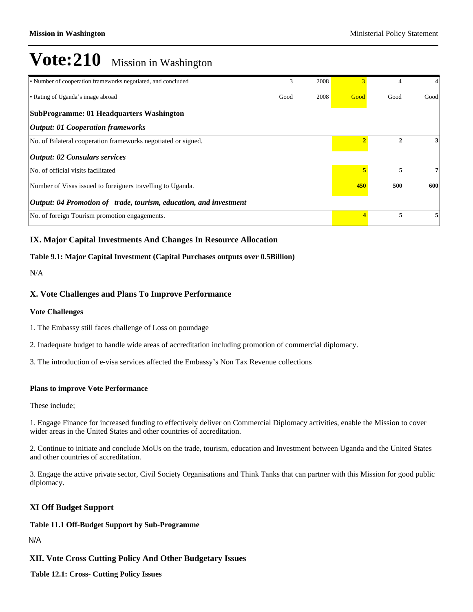| • Number of cooperation frameworks negotiated, and concluded             | 3    | 2008 |                         | 4            | 4              |
|--------------------------------------------------------------------------|------|------|-------------------------|--------------|----------------|
| • Rating of Uganda's image abroad                                        | Good | 2008 | Good                    | Good         | Good           |
| SubProgramme: 01 Headquarters Washington                                 |      |      |                         |              |                |
| <b>Output: 01 Cooperation frameworks</b>                                 |      |      |                         |              |                |
| No. of Bilateral cooperation frameworks negotiated or signed.            |      |      |                         | $\mathbf{2}$ | 3 <sup>1</sup> |
| $\vert$ <i>Output: 02 Consulars services</i>                             |      |      |                         |              |                |
| No. of official visits facilitated                                       |      |      |                         | 5            | 7 <sub>1</sub> |
| Number of Visas issued to foreigners travelling to Uganda.               |      |      | 450                     | 500          | 600            |
| <i>Output: 04 Promotion of trade, tourism, education, and investment</i> |      |      |                         |              |                |
| No. of foreign Tourism promotion engagements.                            |      |      | $\overline{\mathbf{4}}$ | 5            | 5              |

#### **IX. Major Capital Investments And Changes In Resource Allocation**

#### **Table 9.1: Major Capital Investment (Capital Purchases outputs over 0.5Billion)**

N/A

#### **X. Vote Challenges and Plans To Improve Performance**

#### **Vote Challenges**

- 1. The Embassy still faces challenge of Loss on poundage
- 2. Inadequate budget to handle wide areas of accreditation including promotion of commercial diplomacy.
- 3. The introduction of e-visa services affected the Embassy's Non Tax Revenue collections

#### **Plans to improve Vote Performance**

These include;

1. Engage Finance for increased funding to effectively deliver on Commercial Diplomacy activities, enable the Mission to cover wider areas in the United States and other countries of accreditation.

2. Continue to initiate and conclude MoUs on the trade, tourism, education and Investment between Uganda and the United States and other countries of accreditation.

3. Engage the active private sector, Civil Society Organisations and Think Tanks that can partner with this Mission for good public diplomacy.

#### **XI Off Budget Support**

#### **Table 11.1 Off-Budget Support by Sub-Programme**

N/A

#### **XII. Vote Cross Cutting Policy And Other Budgetary Issues**

**Table 12.1: Cross- Cutting Policy Issues**